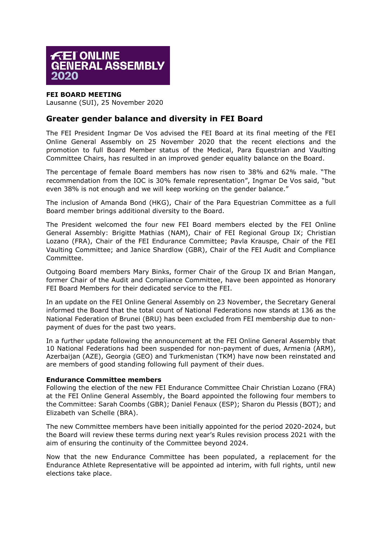

## **FEI BOARD MEETING**

Lausanne (SUI), 25 November 2020

## **Greater gender balance and diversity in FEI Board**

The FEI President Ingmar De Vos advised the FEI Board at its final meeting of the FEI Online General Assembly on 25 November 2020 that the recent elections and the promotion to full Board Member status of the Medical, Para Equestrian and Vaulting Committee Chairs, has resulted in an improved gender equality balance on the Board.

The percentage of female Board members has now risen to 38% and 62% male. "The recommendation from the IOC is 30% female representation", Ingmar De Vos said, "but even 38% is not enough and we will keep working on the gender balance."

The inclusion of Amanda Bond (HKG), Chair of the Para Equestrian Committee as a full Board member brings additional diversity to the Board.

The President welcomed the four new FEI Board members elected by the FEI Online General Assembly: Brigitte Mathias (NAM), Chair of FEI Regional Group IX; Christian Lozano (FRA), Chair of the FEI Endurance Committee; Pavla Krauspe, Chair of the FEI Vaulting Committee; and Janice Shardlow (GBR), Chair of the FEI Audit and Compliance Committee.

Outgoing Board members Mary Binks, former Chair of the Group IX and Brian Mangan, former Chair of the Audit and Compliance Committee, have been appointed as Honorary FEI Board Members for their dedicated service to the FEI.

In an update on the FEI Online General Assembly on 23 November, the Secretary General informed the Board that the total count of National Federations now stands at 136 as the National Federation of Brunei (BRU) has been excluded from FEI membership due to nonpayment of dues for the past two years.

In a further update following the announcement at the FEI Online General Assembly that 10 National Federations had been suspended for non-payment of dues, Armenia (ARM), Azerbaijan (AZE), Georgia (GEO) and Turkmenistan (TKM) have now been reinstated and are members of good standing following full payment of their dues.

## **Endurance Committee members**

Following the election of the new FEI Endurance Committee Chair Christian Lozano (FRA) at the FEI Online General Assembly, the Board appointed the following four members to the Committee: Sarah Coombs (GBR); Daniel Fenaux (ESP); Sharon du Plessis (BOT); and Elizabeth van Schelle (BRA).

The new Committee members have been initially appointed for the period 2020-2024, but the Board will review these terms during next year's Rules revision process 2021 with the aim of ensuring the continuity of the Committee beyond 2024.

Now that the new Endurance Committee has been populated, a replacement for the Endurance Athlete Representative will be appointed ad interim, with full rights, until new elections take place.